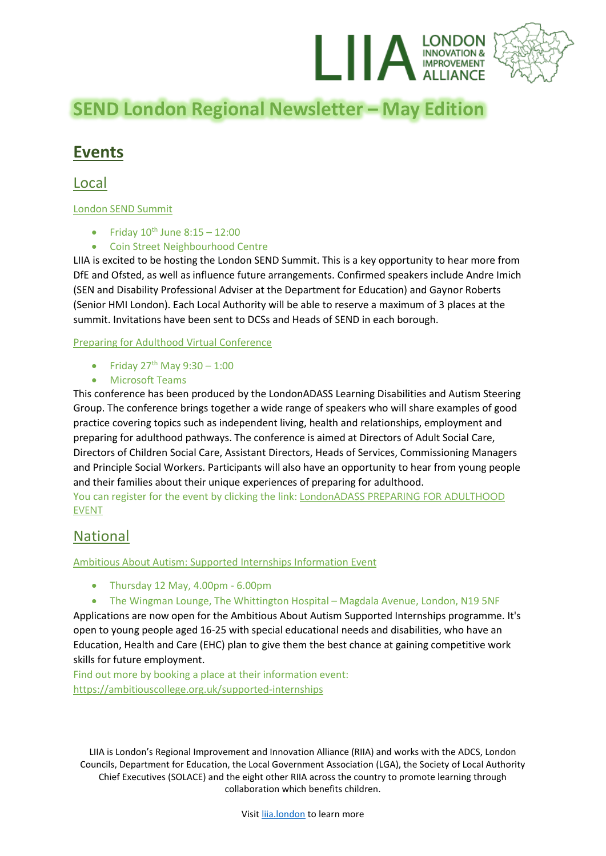

# **SEND London Regional Newsletter – May Edition**

## **Events**

Local

#### London SEND Summit

- Friday  $10^{th}$  June  $8:15 12:00$
- Coin Street Neighbourhood Centre

LIIA is excited to be hosting the London SEND Summit. This is a key opportunity to hear more from DfE and Ofsted, as well as influence future arrangements. Confirmed speakers include Andre Imich (SEN and Disability Professional Adviser at the Department for Education) and Gaynor Roberts (Senior HMI London). Each Local Authority will be able to reserve a maximum of 3 places at the summit. Invitations have been sent to DCSs and Heads of SEND in each borough.

Preparing for Adulthood Virtual Conference

- Friday  $27^{th}$  May  $9:30 1:00$
- Microsoft Teams

This conference has been produced by the LondonADASS Learning Disabilities and Autism Steering Group. The conference brings together a wide range of speakers who will share examples of good practice covering topics such as independent living, health and relationships, employment and preparing for adulthood pathways. The conference is aimed at Directors of Adult Social Care, Directors of Children Social Care, Assistant Directors, Heads of Services, Commissioning Managers and Principle Social Workers. Participants will also have an opportunity to hear from young people and their families about their unique experiences of preparing for adulthood.

You can register for the event by clicking the link: [LondonADASS PREPARING FOR ADULTHOOD](https://teams.microsoft.com/registration/yhKeby3AZkunubJc3IxcCg,mcem1G8WiU2_y4-X7avgHw,avUhJAUOU06CuzRxfI3Yiw,m_ygXPquC0SdNFn1sHxYQg,zFNr2ZSPl02sBhFYbsvJ2w,_jdqkS4O-USzTQOgaALmrw?mode=read&tenantId=6f9e12ca-c02d-4b66-a7b9-b25cdc8c5c0a)  [EVENT](https://teams.microsoft.com/registration/yhKeby3AZkunubJc3IxcCg,mcem1G8WiU2_y4-X7avgHw,avUhJAUOU06CuzRxfI3Yiw,m_ygXPquC0SdNFn1sHxYQg,zFNr2ZSPl02sBhFYbsvJ2w,_jdqkS4O-USzTQOgaALmrw?mode=read&tenantId=6f9e12ca-c02d-4b66-a7b9-b25cdc8c5c0a)

### National

Ambitious About Autism: Supported Internships Information Event

- Thursday 12 May, 4.00pm 6.00pm
- The Wingman Lounge, The Whittington Hospital Magdala Avenue, London, N19 5NF

Applications are now open for the Ambitious About Autism Supported Internships programme. It's open to young people aged 16-25 with special educational needs and disabilities, who have an Education, Health and Care (EHC) plan to give them the best chance at gaining competitive work skills for future employment.

Find out more by booking a place at their information event: <https://ambitiouscollege.org.uk/supported-internships>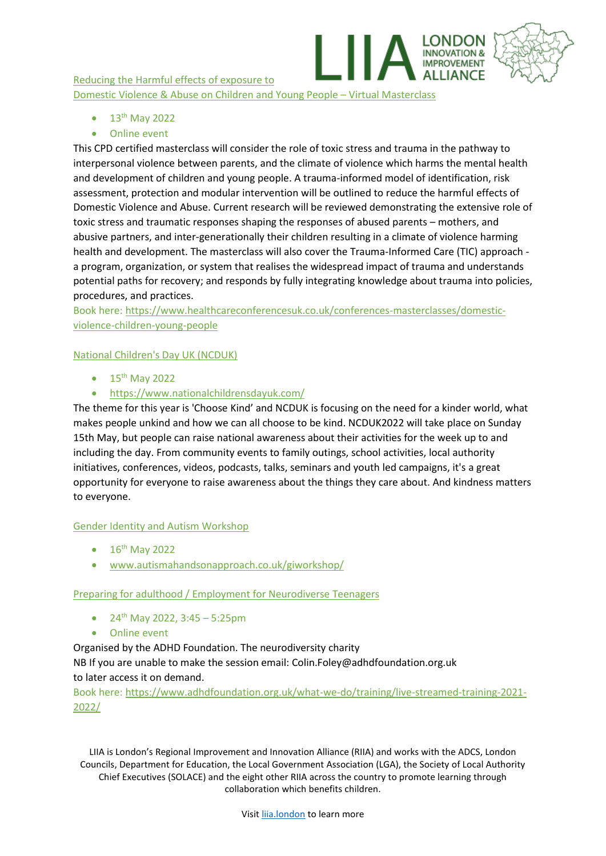Reducing the Harmful effects of exposure to Domestic Violence & Abuse on Children and Young People – Virtual Masterclass

- $\bullet$  13<sup>th</sup> May 2022
- Online event

This CPD certified masterclass will consider the role of toxic stress and trauma in the pathway to interpersonal violence between parents, and the climate of violence which harms the mental health and development of children and young people. A trauma-informed model of identification, risk assessment, protection and modular intervention will be outlined to reduce the harmful effects of Domestic Violence and Abuse. Current research will be reviewed demonstrating the extensive role of toxic stress and traumatic responses shaping the responses of abused parents – mothers, and abusive partners, and inter-generationally their children resulting in a climate of violence harming health and development. The masterclass will also cover the Trauma-Informed Care (TIC) approach a program, organization, or system that realises the widespread impact of trauma and understands potential paths for recovery; and responds by fully integrating knowledge about trauma into policies, procedures, and practices.

**OVEMENT** 

Book here: [https://www.healthcareconferencesuk.co.uk/conferences-masterclasses/domestic](https://www.healthcareconferencesuk.co.uk/conferences-masterclasses/domestic-violence-children-young-people)[violence-children-young-people](https://www.healthcareconferencesuk.co.uk/conferences-masterclasses/domestic-violence-children-young-people)

#### National Children's Day UK (NCDUK)

- $15^{th}$  May 2022
- <https://www.nationalchildrensdayuk.com/>

The theme for this year is 'Choose Kind' and NCDUK is focusing on the need for a kinder world, what makes people unkind and how we can all choose to be kind. NCDUK2022 will take place on Sunday 15th May, but people can raise national awareness about their activities for the week up to and including the day. From community events to family outings, school activities, local authority initiatives, conferences, videos, podcasts, talks, seminars and youth led campaigns, it's a great opportunity for everyone to raise awareness about the things they care about. And kindness matters to everyone.

#### Gender Identity and Autism Workshop

- $\bullet$  16<sup>th</sup> May 2022
- [www.autismahandsonapproach.co.uk/giworkshop/](http://www.autismahandsonapproach.co.uk/giworkshop/)

#### Preparing for adulthood / Employment for Neurodiverse Teenagers

- 24<sup>th</sup> May 2022, 3:45 5:25pm
- Online event

Organised by the ADHD Foundation. The neurodiversity charity

NB If you are unable to make the session email: Colin.Foley@adhdfoundation.org.uk to later access it on demand.

Book here: [https://www.adhdfoundation.org.uk/what-we-do/training/live-streamed-training-2021-](https://www.adhdfoundation.org.uk/what-we-do/training/live-streamed-training-2021-2022/) [2022/](https://www.adhdfoundation.org.uk/what-we-do/training/live-streamed-training-2021-2022/)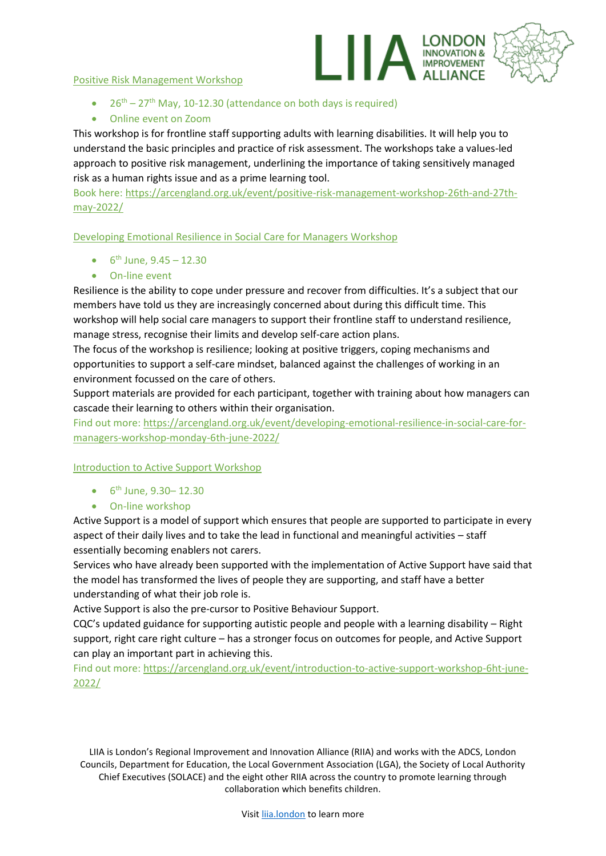#### Positive Risk Management Workshop



- $26<sup>th</sup> 27<sup>th</sup>$  May, 10-12.30 (attendance on both days is required)
- Online event on Zoom

This workshop is for frontline staff supporting adults with learning disabilities. It will help you to understand the basic principles and practice of risk assessment. The workshops take a values-led approach to positive risk management, underlining the importance of taking sensitively managed risk as a human rights issue and as a prime learning tool.

Book here: [https://arcengland.org.uk/event/positive-risk-management-workshop-26th-and-27th](https://arcengland.org.uk/event/positive-risk-management-workshop-26th-and-27th-may-2022/)[may-2022/](https://arcengland.org.uk/event/positive-risk-management-workshop-26th-and-27th-may-2022/)

Developing Emotional Resilience in Social Care for Managers Workshop

- $6^{\text{th}}$  June,  $9.45 12.30$
- On-line event

Resilience is the ability to cope under pressure and recover from difficulties. It's a subject that our members have told us they are increasingly concerned about during this difficult time. This workshop will help social care managers to support their frontline staff to understand resilience, manage stress, recognise their limits and develop self-care action plans.

The focus of the workshop is resilience; looking at positive triggers, coping mechanisms and opportunities to support a self-care mindset, balanced against the challenges of working in an environment focussed on the care of others.

Support materials are provided for each participant, together with training about how managers can cascade their learning to others within their organisation.

Find out more[: https://arcengland.org.uk/event/developing-emotional-resilience-in-social-care-for](https://arcengland.org.uk/event/developing-emotional-resilience-in-social-care-for-managers-workshop-monday-6th-june-2022/)[managers-workshop-monday-6th-june-2022/](https://arcengland.org.uk/event/developing-emotional-resilience-in-social-care-for-managers-workshop-monday-6th-june-2022/)

#### Introduction to Active Support Workshop

- $6^{\text{th}}$  June, 9.30 12.30
- On-line workshop

Active Support is a model of support which ensures that people are supported to participate in every aspect of their daily lives and to take the lead in functional and meaningful activities – staff essentially becoming enablers not carers.

Services who have already been supported with the implementation of Active Support have said that the model has transformed the lives of people they are supporting, and staff have a better understanding of what their job role is.

Active Support is also the pre-cursor to Positive Behaviour Support.

CQC's updated guidance for supporting autistic people and people with a learning disability – Right support, right care right culture – has a stronger focus on outcomes for people, and Active Support can play an important part in achieving this.

Find out more[: https://arcengland.org.uk/event/introduction-to-active-support-workshop-6ht-june-](https://arcengland.org.uk/event/introduction-to-active-support-workshop-6ht-june-2022/)[2022/](https://arcengland.org.uk/event/introduction-to-active-support-workshop-6ht-june-2022/)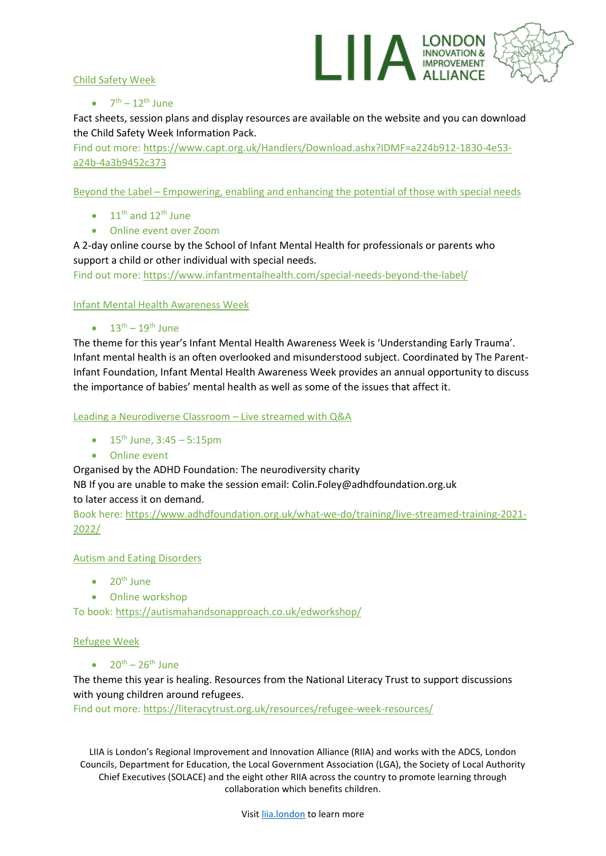

#### Child Safety Week

#### $\bullet$   $7^{\text{th}} - 12^{\text{th}}$  June

Fact sheets, session plans and display resources are available on the website and you can download the Child Safety Week Information Pack.

Find out more[: https://www.capt.org.uk/Handlers/Download.ashx?IDMF=a224b912-1830-4e53](https://www.capt.org.uk/Handlers/Download.ashx?IDMF=a224b912-1830-4e53-a24b-4a3b9452c373) [a24b-4a3b9452c373](https://www.capt.org.uk/Handlers/Download.ashx?IDMF=a224b912-1830-4e53-a24b-4a3b9452c373)

Beyond the Label – Empowering, enabling and enhancing the potential of those with special needs

- $\bullet$  11<sup>th</sup> and 12<sup>th</sup> June
- Online event over Zoom

A 2-day online course by the School of Infant Mental Health for professionals or parents who support a child or other individual with special needs.

Find out more[: https://www.infantmentalhealth.com/special-needs-beyond-the-label/](https://www.infantmentalhealth.com/special-needs-beyond-the-label/)

Infant Mental Health Awareness Week

 $\bullet$   $13^{\text{th}} - 19^{\text{th}}$  June

The theme for this year's Infant Mental Health Awareness Week is 'Understanding Early Trauma'. Infant mental health is an often overlooked and misunderstood subject. Coordinated by The Parent-Infant Foundation, Infant Mental Health Awareness Week provides an annual opportunity to discuss the importance of babies' mental health as well as some of the issues that affect it.

Leading a Neurodiverse Classroom – Live streamed with Q&A

- $15^{th}$  June,  $3:45 5:15$ pm
- Online event

Organised by the ADHD Foundation: The neurodiversity charity

NB If you are unable to make the session email: Colin.Foley@adhdfoundation.org.uk to later access it on demand.

Book here: [https://www.adhdfoundation.org.uk/what-we-do/training/live-streamed-training-2021-](https://www.adhdfoundation.org.uk/what-we-do/training/live-streamed-training-2021-2022/) [2022/](https://www.adhdfoundation.org.uk/what-we-do/training/live-streamed-training-2021-2022/)

#### Autism and Eating Disorders

- $\bullet$  20<sup>th</sup> June
- Online workshop

To book: <https://autismahandsonapproach.co.uk/edworkshop/>

#### Refugee Week

 $\bullet$   $20^{th} - 26^{th}$  June

The theme this year is healing. Resources from the National Literacy Trust to support discussions with young children around refugees.

Find out more[: https://literacytrust.org.uk/resources/refugee-week-resources/](https://literacytrust.org.uk/resources/refugee-week-resources/)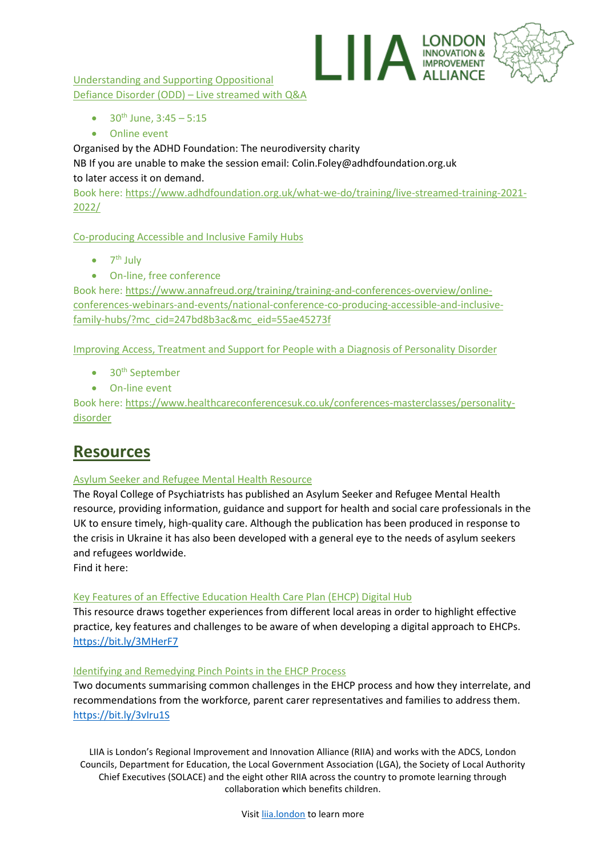

Understanding and Supporting Oppositional Defiance Disorder (ODD) – Live streamed with Q&A

- $30^{th}$  June,  $3:45 5:15$
- Online event

Organised by the ADHD Foundation: The neurodiversity charity

NB If you are unable to make the session email: Colin.Foley@adhdfoundation.org.uk to later access it on demand.

Book here: [https://www.adhdfoundation.org.uk/what-we-do/training/live-streamed-training-2021-](https://www.adhdfoundation.org.uk/what-we-do/training/live-streamed-training-2021-2022/) [2022/](https://www.adhdfoundation.org.uk/what-we-do/training/live-streamed-training-2021-2022/)

Co-producing Accessible and Inclusive Family Hubs

- $\bullet$  7<sup>th</sup> July
- On-line, free conference

Book here: [https://www.annafreud.org/training/training-and-conferences-overview/online](https://www.annafreud.org/training/training-and-conferences-overview/online-conferences-webinars-and-events/national-conference-co-producing-accessible-and-inclusive-family-hubs/?mc_cid=247bd8b3ac&mc_eid=55ae45273f)[conferences-webinars-and-events/national-conference-co-producing-accessible-and-inclusive](https://www.annafreud.org/training/training-and-conferences-overview/online-conferences-webinars-and-events/national-conference-co-producing-accessible-and-inclusive-family-hubs/?mc_cid=247bd8b3ac&mc_eid=55ae45273f)[family-hubs/?mc\\_cid=247bd8b3ac&mc\\_eid=55ae45273f](https://www.annafreud.org/training/training-and-conferences-overview/online-conferences-webinars-and-events/national-conference-co-producing-accessible-and-inclusive-family-hubs/?mc_cid=247bd8b3ac&mc_eid=55ae45273f)

Improving Access, Treatment and Support for People with a Diagnosis of Personality Disorder

- $\bullet$  30<sup>th</sup> September
- On-line event

Book here: [https://www.healthcareconferencesuk.co.uk/conferences-masterclasses/personality](https://www.healthcareconferencesuk.co.uk/conferences-masterclasses/personality-disorder)[disorder](https://www.healthcareconferencesuk.co.uk/conferences-masterclasses/personality-disorder)

### **Resources**

#### Asylum Seeker and Refugee Mental Health Resource

The Royal College of Psychiatrists has published an Asylum Seeker and Refugee Mental Health resource, providing information, guidance and support for health and social care professionals in the UK to ensure timely, high-quality care. Although the publication has been produced in response to the crisis in Ukraine it has also been developed with a general eye to the needs of asylum seekers and refugees worldwide.

Find it here:

#### Key Features of an Effective Education Health Care Plan (EHCP) Digital Hub

This resource draws together experiences from different local areas in order to highlight effective practice, key features and challenges to be aware of when developing a digital approach to EHCPs. <https://bit.ly/3MHerF7>

#### Identifying and Remedying Pinch Points in the EHCP Process

Two documents summarising common challenges in the EHCP process and how they interrelate, and recommendations from the workforce, parent carer representatives and families to address them. <https://bit.ly/3vIru1S>